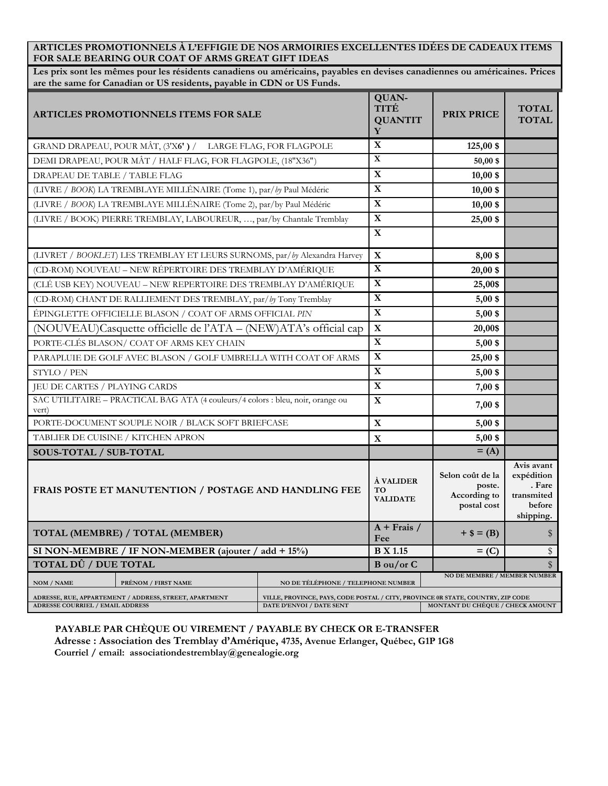**ARTICLES PROMOTIONNELS À L'EFFIGIE DE NOS ARMOIRIES EXCELLENTES IDÉES DE CADEAUX ITEMS FOR SALE BEARING OUR COAT OF ARMS GREAT GIFT IDEAS** 

**Les prix sont les mêmes pour les résidents canadiens ou américains, payables en devises canadiennes ou américaines. Prices are the same for Canadian or US residents, payable in CDN or US Funds.** 

| <b>ARTICLES PROMOTIONNELS ITEMS FOR SALE</b>                                               |                     |                                                                                                             | QUAN-<br>TITÉ<br><b>QUANTIT</b><br>Y | <b>PRIX PRICE</b>                                         | <b>TOTAL</b><br><b>TOTAL</b>                                            |
|--------------------------------------------------------------------------------------------|---------------------|-------------------------------------------------------------------------------------------------------------|--------------------------------------|-----------------------------------------------------------|-------------------------------------------------------------------------|
| GRAND DRAPEAU, POUR MÂT, (3'X6') / LARGE FLAG, FOR FLAGPOLE                                |                     |                                                                                                             | $\mathbf X$                          | $125,00$ \$                                               |                                                                         |
| DEMI DRAPEAU, POUR MÂT / HALF FLAG, FOR FLAGPOLE, (18"X36")                                |                     |                                                                                                             | $\mathbf X$                          | $50,00$ \$                                                |                                                                         |
| DRAPEAU DE TABLE / TABLE FLAG                                                              |                     |                                                                                                             | $\mathbf X$                          | $10,00$ \$                                                |                                                                         |
| (LIVRE / BOOK) LA TREMBLAYE MILLÉNAIRE (Tome 1), par/by Paul Médéric                       |                     |                                                                                                             | $\mathbf X$                          | $10,00$ \$                                                |                                                                         |
| (LIVRE / BOOK) LA TREMBLAYE MILLÉNAIRE (Tome 2), par/by Paul Médéric                       |                     |                                                                                                             | $\overline{\mathbf{X}}$              | $10,00$ \$                                                |                                                                         |
| (LIVRE / BOOK) PIERRE TREMBLAY, LABOUREUR, , par/by Chantale Tremblay                      |                     |                                                                                                             | $\mathbf X$                          | $25,00$ \$                                                |                                                                         |
|                                                                                            |                     |                                                                                                             | $\mathbf X$                          |                                                           |                                                                         |
| (LIVRET / BOOKLET) LES TREMBLAY ET LEURS SURNOMS, par/by Alexandra Harvey                  |                     |                                                                                                             | $\mathbf X$                          | $8,00$ \$                                                 |                                                                         |
| (CD-ROM) NOUVEAU – NEW RÉPERTOIRE DES TREMBLAY D'AMÉRIQUE                                  |                     |                                                                                                             | $\overline{\mathbf{X}}$              | $20,00$ \$                                                |                                                                         |
| (CLÉ USB KEY) NOUVEAU – NEW REPERTOIRE DES TREMBLAY D'AMÉRIQUE                             |                     |                                                                                                             | $\mathbf X$                          | 25,00\$                                                   |                                                                         |
| (CD-ROM) CHANT DE RALLIEMENT DES TREMBLAY, par/by Tony Tremblay                            |                     |                                                                                                             | $\overline{\mathbf{X}}$              | $5,00$ \$                                                 |                                                                         |
| ÉPINGLETTE OFFICIELLE BLASON / COAT OF ARMS OFFICIAL PIN                                   |                     |                                                                                                             | $\mathbf X$                          | $5,00$ \$                                                 |                                                                         |
| (NOUVEAU)Casquette officielle de l'ATA - (NEW)ATA's official cap                           |                     |                                                                                                             | $\mathbf X$                          | 20,00\$                                                   |                                                                         |
| PORTE-CLÉS BLASON/ COAT OF ARMS KEY CHAIN                                                  |                     |                                                                                                             | $\overline{\mathbf{X}}$              | $5,00$ \$                                                 |                                                                         |
| PARAPLUIE DE GOLF AVEC BLASON / GOLF UMBRELLA WITH COAT OF ARMS                            |                     |                                                                                                             | $\mathbf X$                          | 25,00 \$                                                  |                                                                         |
| STYLO / PEN                                                                                |                     |                                                                                                             | $\mathbf X$                          | $5,00$ \$                                                 |                                                                         |
| JEU DE CARTES / PLAYING CARDS                                                              |                     |                                                                                                             | $\overline{\mathbf{X}}$              | 7,00 \$                                                   |                                                                         |
| SAC UTILITAIRE - PRACTICAL BAG ATA (4 couleurs/4 colors : bleu, noir, orange ou<br>vert)   |                     |                                                                                                             | $\mathbf X$                          | 7,00 \$                                                   |                                                                         |
| PORTE-DOCUMENT SOUPLE NOIR / BLACK SOFT BRIEFCASE                                          |                     |                                                                                                             | $\mathbf X$                          | $5,00$ \$                                                 |                                                                         |
| TABLIER DE CUISINE / KITCHEN APRON                                                         |                     |                                                                                                             | X                                    | $5,00$ \$                                                 |                                                                         |
| SOUS-TOTAL / SUB-TOTAL                                                                     |                     |                                                                                                             |                                      | $=$ (A)                                                   |                                                                         |
| FRAIS POSTE ET MANUTENTION / POSTAGE AND HANDLING FEE                                      |                     |                                                                                                             | À VALIDER<br>TO<br><b>VALIDATE</b>   | Selon coût de la<br>poste.<br>According to<br>postal cost | Avis avant<br>expédition<br>. Fare<br>transmited<br>before<br>shipping. |
| TOTAL (MEMBRE) / TOTAL (MEMBER)                                                            |                     |                                                                                                             | $A + Frais /$<br>Fee                 | $+$ \$ = (B)                                              | \$                                                                      |
| SI NON-MEMBRE / IF NON-MEMBER (ajouter / $add + 15\%$ )                                    |                     |                                                                                                             | <b>B</b> X 1.15                      | $=$ (C)                                                   | \$                                                                      |
| <b>TOTAL DÛ / DUE TOTAL</b>                                                                |                     |                                                                                                             | Bou/or C                             |                                                           | \$                                                                      |
| NOM / NAME                                                                                 | PRÉNOM / FIRST NAME | NO DE MEMBRE / MEMBER NUMBER<br>NO DE TÉLÉPHONE / TELEPHONE NUMBER                                          |                                      |                                                           |                                                                         |
| ADRESSE, RUE, APPARTEMENT / ADDRESS, STREET, APARTMENT<br>ADRESSE COURRIEL / EMAIL ADDRESS |                     | VILLE, PROVINCE, PAYS, CODE POSTAL / CITY, PROVINCE 0R STATE, COUNTRY, ZIP CODE<br>DATE D'ENVOI / DATE SENT |                                      | MONTANT DU CHÈQUE / CHECK AMOUNT                          |                                                                         |

**PAYABLE PAR CHÈQUE OU VIREMENT / PAYABLE BY CHECK OR E-TRANSFER Adresse : Association des Tremblay d'Amérique, 4735, Avenue Erlanger, Québec, G1P 1G8** 

 **Courriel / email: associationdestremblay@genealogie.org**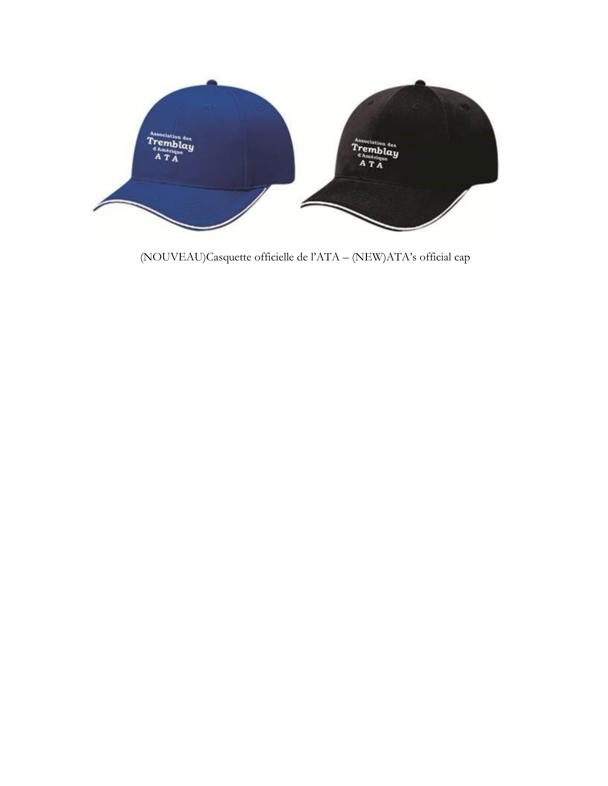

(NOUVEAU)Casquette officielle de l'ATA - (NEW)ATA's official cap